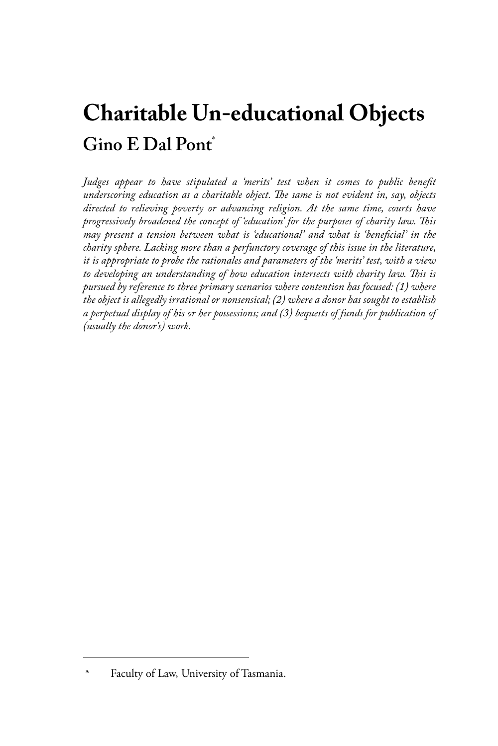# **Charitable Un-educational Objects Gino E Dal Pont**\*

Judges appear to have stipulated a 'merits' test when it comes to public benefit *underscoring education as a charitable object. The same is not evident in, say, objects directed to relieving poverty or advancing religion. At the same time, courts have progressively broadened the concept of 'education' for the purposes of charity law. This may present a tension between what is 'educational' and what is 'beneficial' in the charity sphere. Lacking more than a perfunctory coverage of this issue in the literature, it is appropriate to probe the rationales and parameters of the 'merits' test, with a view*  to developing an understanding of how education intersects with charity law. This is *pursued by reference to three primary scenarios where contention has focused: (1) where the object is allegedly irrational or nonsensical; (2) where a donor has sought to establish a perpetual display of his or her possessions; and (3) bequests of funds for publication of (usually the donor's) work.*

Faculty of Law, University of Tasmania.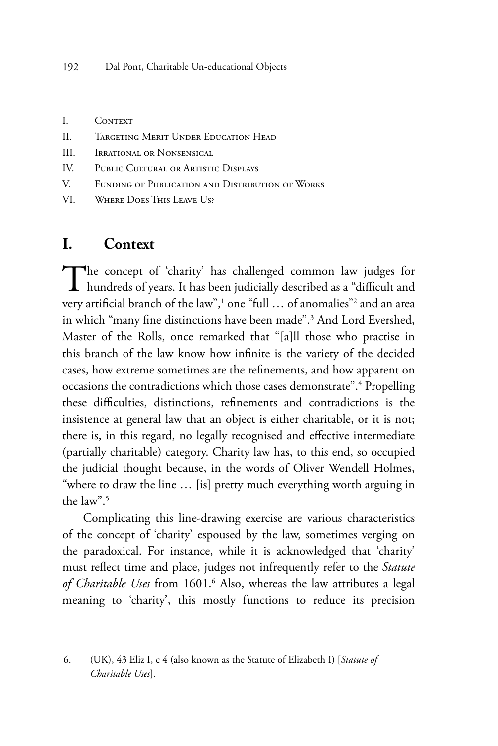- I. CONTEXT
- II. Targeting Merit Under Education Head
- III. **IRRATIONAL OR NONSENSICAL**
- IV. Public Cultural or Artistic Displays
- V. Funding of Publication and Distribution of Works
- VI. Where Does This Leave Us?

#### **I. Context**

The concept of 'charity' has challenged common law judges for **L** hundreds of years. It has been judicially described as a "difficult and very artificial branch of the law",<sup>1</sup> one "full … of anomalies"<sup>2</sup> and an area in which "many fine distinctions have been made".3 And Lord Evershed, Master of the Rolls, once remarked that "[a]ll those who practise in this branch of the law know how infinite is the variety of the decided cases, how extreme sometimes are the refinements, and how apparent on occasions the contradictions which those cases demonstrate".<sup>4</sup> Propelling these difficulties, distinctions, refinements and contradictions is the insistence at general law that an object is either charitable, or it is not; there is, in this regard, no legally recognised and effective intermediate (partially charitable) category. Charity law has, to this end, so occupied the judicial thought because, in the words of Oliver Wendell Holmes, "where to draw the line … [is] pretty much everything worth arguing in the law".5

Complicating this line-drawing exercise are various characteristics of the concept of 'charity' espoused by the law, sometimes verging on the paradoxical. For instance, while it is acknowledged that 'charity' must reflect time and place, judges not infrequently refer to the *Statute*  of Charitable Uses from 1601.<sup>6</sup> Also, whereas the law attributes a legal meaning to 'charity', this mostly functions to reduce its precision

<sup>6.</sup> (UK), 43 Eliz I, c 4 (also known as the Statute of Elizabeth I) [*Statute of Charitable Uses*].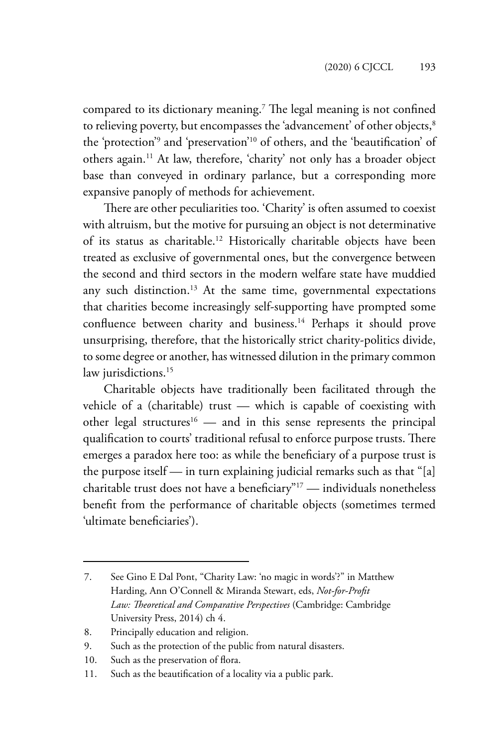compared to its dictionary meaning.7 The legal meaning is not confined to relieving poverty, but encompasses the 'advancement' of other objects,<sup>8</sup> the 'protection'9 and 'preservation'10 of others, and the 'beautification' of others again.11 At law, therefore, 'charity' not only has a broader object base than conveyed in ordinary parlance, but a corresponding more expansive panoply of methods for achievement.

There are other peculiarities too. 'Charity' is often assumed to coexist with altruism, but the motive for pursuing an object is not determinative of its status as charitable.12 Historically charitable objects have been treated as exclusive of governmental ones, but the convergence between the second and third sectors in the modern welfare state have muddied any such distinction.<sup>13</sup> At the same time, governmental expectations that charities become increasingly self-supporting have prompted some confluence between charity and business.<sup>14</sup> Perhaps it should prove unsurprising, therefore, that the historically strict charity-politics divide, to some degree or another, has witnessed dilution in the primary common law jurisdictions.<sup>15</sup>

Charitable objects have traditionally been facilitated through the vehicle of a (charitable) trust — which is capable of coexisting with other legal structures<sup>16</sup> — and in this sense represents the principal qualification to courts' traditional refusal to enforce purpose trusts. There emerges a paradox here too: as while the beneficiary of a purpose trust is the purpose itself — in turn explaining judicial remarks such as that "[a] charitable trust does not have a beneficiary"17 — individuals nonetheless benefit from the performance of charitable objects (sometimes termed 'ultimate beneficiaries').

<sup>7.</sup> See Gino E Dal Pont, "Charity Law: 'no magic in words'?" in Matthew Harding, Ann O'Connell & Miranda Stewart, eds, *Not-for-Profit Law: Theoretical and Comparative Perspectives* (Cambridge: Cambridge University Press, 2014) ch 4.

<sup>8.</sup> Principally education and religion.

<sup>9.</sup> Such as the protection of the public from natural disasters.

<sup>10.</sup> Such as the preservation of flora.

<sup>11.</sup> Such as the beautification of a locality via a public park.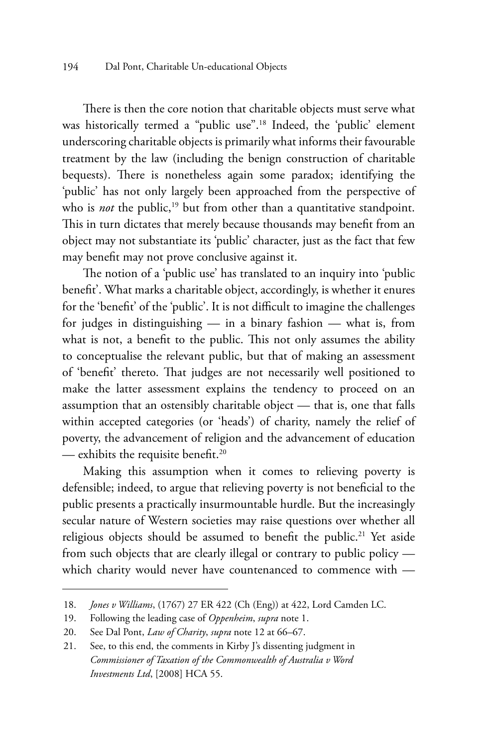There is then the core notion that charitable objects must serve what was historically termed a "public use".<sup>18</sup> Indeed, the 'public' element underscoring charitable objects is primarily what informs their favourable treatment by the law (including the benign construction of charitable bequests). There is nonetheless again some paradox; identifying the 'public' has not only largely been approached from the perspective of who is *not* the public,<sup>19</sup> but from other than a quantitative standpoint. This in turn dictates that merely because thousands may benefit from an object may not substantiate its 'public' character, just as the fact that few may benefit may not prove conclusive against it.

The notion of a 'public use' has translated to an inquiry into 'public benefit'. What marks a charitable object, accordingly, is whether it enures for the 'benefit' of the 'public'. It is not difficult to imagine the challenges for judges in distinguishing — in a binary fashion — what is, from what is not, a benefit to the public. This not only assumes the ability to conceptualise the relevant public, but that of making an assessment of 'benefit' thereto. That judges are not necessarily well positioned to make the latter assessment explains the tendency to proceed on an assumption that an ostensibly charitable object — that is, one that falls within accepted categories (or 'heads') of charity, namely the relief of poverty, the advancement of religion and the advancement of education — exhibits the requisite benefit.20

Making this assumption when it comes to relieving poverty is defensible; indeed, to argue that relieving poverty is not beneficial to the public presents a practically insurmountable hurdle. But the increasingly secular nature of Western societies may raise questions over whether all religious objects should be assumed to benefit the public.<sup>21</sup> Yet aside from such objects that are clearly illegal or contrary to public policy which charity would never have countenanced to commence with -

<sup>18.</sup> *Jones v Williams*, (1767) 27 ER 422 (Ch (Eng)) at 422, Lord Camden LC.

<sup>19.</sup> Following the leading case of *Oppenheim*, *supra* note 1.

<sup>20.</sup> See Dal Pont, *Law of Charity*, *supra* note 12 at 66–67.

<sup>21.</sup> See, to this end, the comments in Kirby J's dissenting judgment in *Commissioner of Taxation of the Commonwealth of Australia v Word Investments Ltd*, [2008] HCA 55.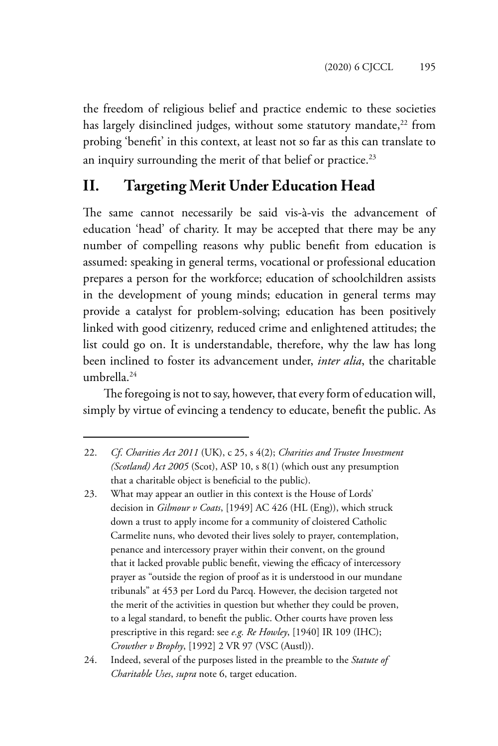the freedom of religious belief and practice endemic to these societies has largely disinclined judges, without some statutory mandate,<sup>22</sup> from probing 'benefit' in this context, at least not so far as this can translate to an inquiry surrounding the merit of that belief or practice.<sup>23</sup>

# **II. Targeting Merit Under Education Head**

The same cannot necessarily be said vis-à-vis the advancement of education 'head' of charity. It may be accepted that there may be any number of compelling reasons why public benefit from education is assumed: speaking in general terms, vocational or professional education prepares a person for the workforce; education of schoolchildren assists in the development of young minds; education in general terms may provide a catalyst for problem-solving; education has been positively linked with good citizenry, reduced crime and enlightened attitudes; the list could go on. It is understandable, therefore, why the law has long been inclined to foster its advancement under, *inter alia*, the charitable umbrella.24

The foregoing is not to say, however, that every form of education will, simply by virtue of evincing a tendency to educate, benefit the public. As

<sup>22.</sup> *Cf*. *Charities Act 2011* (UK), c 25, s 4(2); *Charities and Trustee Investment (Scotland) Act 2005* (Scot), ASP 10, s 8(1) (which oust any presumption that a charitable object is beneficial to the public).

<sup>23.</sup> What may appear an outlier in this context is the House of Lords' decision in *Gilmour v Coats*, [1949] AC 426 (HL (Eng)), which struck down a trust to apply income for a community of cloistered Catholic Carmelite nuns, who devoted their lives solely to prayer, contemplation, penance and intercessory prayer within their convent, on the ground that it lacked provable public benefit, viewing the efficacy of intercessory prayer as "outside the region of proof as it is understood in our mundane tribunals" at 453 per Lord du Parcq. However, the decision targeted not the merit of the activities in question but whether they could be proven, to a legal standard, to benefit the public. Other courts have proven less prescriptive in this regard: see *e.g. Re Howley*, [1940] IR 109 (IHC); *Crowther v Brophy*, [1992] 2 VR 97 (VSC (Austl)).

<sup>24.</sup> Indeed, several of the purposes listed in the preamble to the *Statute of Charitable Uses*, *supra* note 6, target education.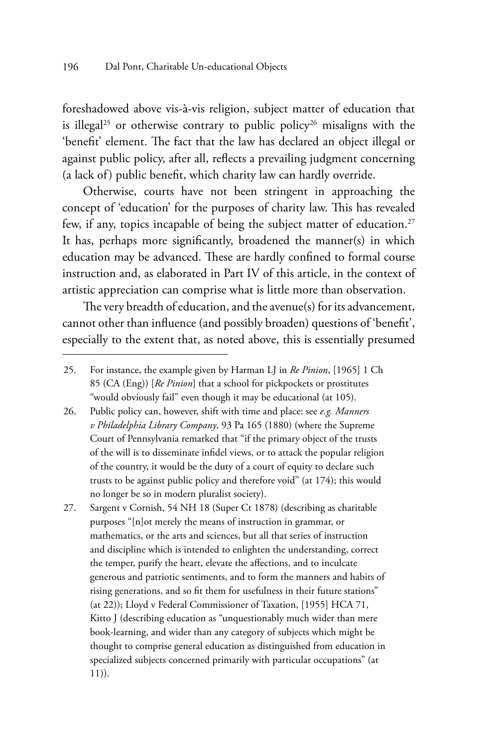foreshadowed above vis-à-vis religion, subject matter of education that is illegal<sup>25</sup> or otherwise contrary to public policy<sup>26</sup> misaligns with the 'benefit' element. The fact that the law has declared an object illegal or against public policy, after all, reflects a prevailing judgment concerning (a lack of) public benefit, which charity law can hardly override.

Otherwise, courts have not been stringent in approaching the concept of 'education' for the purposes of charity law. This has revealed few, if any, topics incapable of being the subject matter of education.<sup>27</sup> It has, perhaps more significantly, broadened the manner(s) in which education may be advanced. These are hardly confined to formal course instruction and, as elaborated in Part IV of this article, in the context of artistic appreciation can comprise what is little more than observation.

The very breadth of education, and the avenue(s) for its advancement, cannot other than influence (and possibly broaden) questions of 'benefit', especially to the extent that, as noted above, this is essentially presumed

- 26. Public policy can, however, shift with time and place: see *e.g. Manners v Philadelphia Library Company*, 93 Pa 165 (1880) (where the Supreme Court of Pennsylvania remarked that "if the primary object of the trusts of the will is to disseminate infidel views, or to attack the popular religion of the country, it would be the duty of a court of equity to declare such trusts to be against public policy and therefore void" (at 174); this would no longer be so in modern pluralist society).
- 27. Sargent v Cornish, 54 NH 18 (Super Ct 1878) (describing as charitable purposes "[n]ot merely the means of instruction in grammar, or mathematics, or the arts and sciences, but all that series of instruction and discipline which is intended to enlighten the understanding, correct the temper, purify the heart, elevate the affections, and to inculcate generous and patriotic sentiments, and to form the manners and habits of rising generations, and so fit them for usefulness in their future stations" (at 22)); Lloyd v Federal Commissioner of Taxation, [1955] HCA 71, Kitto J (describing education as "unquestionably much wider than mere book-learning, and wider than any category of subjects which might be thought to comprise general education as distinguished from education in specialized subjects concerned primarily with particular occupations" (at 11)).

<sup>25.</sup> For instance, the example given by Harman LJ in *Re Pinion*, [1965] 1 Ch 85 (CA (Eng)) [*Re Pinion*] that a school for pickpockets or prostitutes "would obviously fail" even though it may be educational (at 105).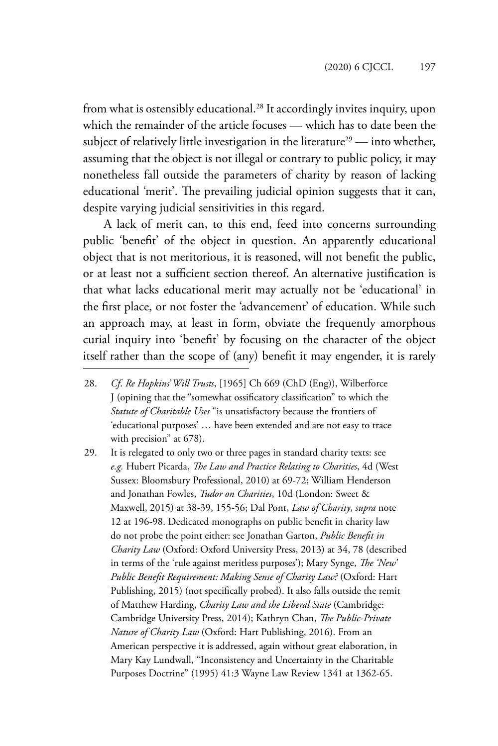from what is ostensibly educational.<sup>28</sup> It accordingly invites inquiry, upon which the remainder of the article focuses — which has to date been the subject of relatively little investigation in the literature<sup>29</sup> — into whether, assuming that the object is not illegal or contrary to public policy, it may nonetheless fall outside the parameters of charity by reason of lacking educational 'merit'. The prevailing judicial opinion suggests that it can, despite varying judicial sensitivities in this regard.

A lack of merit can, to this end, feed into concerns surrounding public 'benefit' of the object in question. An apparently educational object that is not meritorious, it is reasoned, will not benefit the public, or at least not a sufficient section thereof. An alternative justification is that what lacks educational merit may actually not be 'educational' in the first place, or not foster the 'advancement' of education. While such an approach may, at least in form, obviate the frequently amorphous curial inquiry into 'benefit' by focusing on the character of the object itself rather than the scope of (any) benefit it may engender, it is rarely

- 28. *Cf*. *Re Hopkins' Will Trusts*, [1965] Ch 669 (ChD (Eng)), Wilberforce J (opining that the "somewhat ossificatory classification" to which the *Statute of Charitable Uses* "is unsatisfactory because the frontiers of 'educational purposes' … have been extended and are not easy to trace with precision" at 678).
- 29. It is relegated to only two or three pages in standard charity texts: see *e.g.* Hubert Picarda, *The Law and Practice Relating to Charities*, 4d (West Sussex: Bloomsbury Professional, 2010) at 69-72; William Henderson and Jonathan Fowles, *Tudor on Charities*, 10d (London: Sweet & Maxwell, 2015) at 38-39, 155-56; Dal Pont, *Law of Charity*, *supra* note 12 at 196-98. Dedicated monographs on public benefit in charity law do not probe the point either: see Jonathan Garton, *Public Benefit in Charity Law* (Oxford: Oxford University Press, 2013) at 34, 78 (described in terms of the 'rule against meritless purposes'); Mary Synge, *The 'New' Public Benefit Requirement: Making Sense of Charity Law?* (Oxford: Hart Publishing, 2015) (not specifically probed). It also falls outside the remit of Matthew Harding, *Charity Law and the Liberal State* (Cambridge: Cambridge University Press, 2014); Kathryn Chan, *The Public-Private Nature of Charity Law* (Oxford: Hart Publishing, 2016). From an American perspective it is addressed, again without great elaboration, in Mary Kay Lundwall, "Inconsistency and Uncertainty in the Charitable Purposes Doctrine" (1995) 41:3 Wayne Law Review 1341 at 1362-65.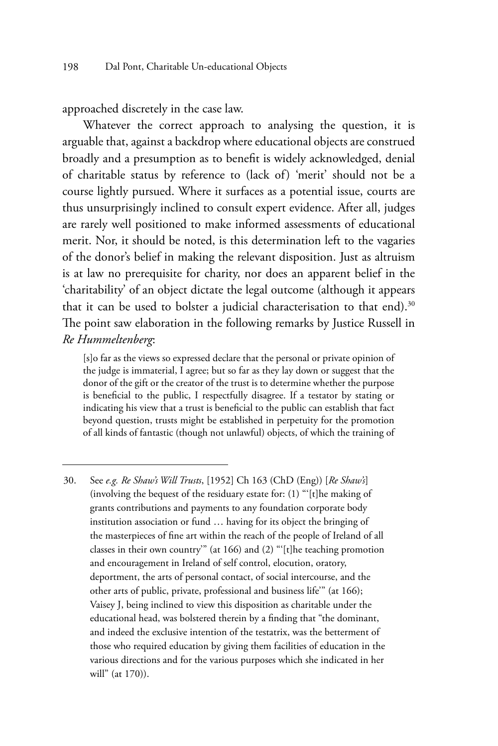approached discretely in the case law.

Whatever the correct approach to analysing the question, it is arguable that, against a backdrop where educational objects are construed broadly and a presumption as to benefit is widely acknowledged, denial of charitable status by reference to (lack of) 'merit' should not be a course lightly pursued. Where it surfaces as a potential issue, courts are thus unsurprisingly inclined to consult expert evidence. After all, judges are rarely well positioned to make informed assessments of educational merit. Nor, it should be noted, is this determination left to the vagaries of the donor's belief in making the relevant disposition. Just as altruism is at law no prerequisite for charity, nor does an apparent belief in the 'charitability' of an object dictate the legal outcome (although it appears that it can be used to bolster a judicial characterisation to that end).<sup>30</sup> The point saw elaboration in the following remarks by Justice Russell in *Re Hummeltenberg*:

[s]o far as the views so expressed declare that the personal or private opinion of the judge is immaterial, I agree; but so far as they lay down or suggest that the donor of the gift or the creator of the trust is to determine whether the purpose is beneficial to the public, I respectfully disagree. If a testator by stating or indicating his view that a trust is beneficial to the public can establish that fact beyond question, trusts might be established in perpetuity for the promotion of all kinds of fantastic (though not unlawful) objects, of which the training of

<sup>30.</sup> See *e.g. Re Shaw's Will Trusts*, [1952] Ch 163 (ChD (Eng)) [*Re Shaw's*] (involving the bequest of the residuary estate for: (1) "'[t]he making of grants contributions and payments to any foundation corporate body institution association or fund … having for its object the bringing of the masterpieces of fine art within the reach of the people of Ireland of all classes in their own country'" (at 166) and (2) "'[t]he teaching promotion and encouragement in Ireland of self control, elocution, oratory, deportment, the arts of personal contact, of social intercourse, and the other arts of public, private, professional and business life'" (at 166); Vaisey J, being inclined to view this disposition as charitable under the educational head, was bolstered therein by a finding that "the dominant, and indeed the exclusive intention of the testatrix, was the betterment of those who required education by giving them facilities of education in the various directions and for the various purposes which she indicated in her will" (at 170)).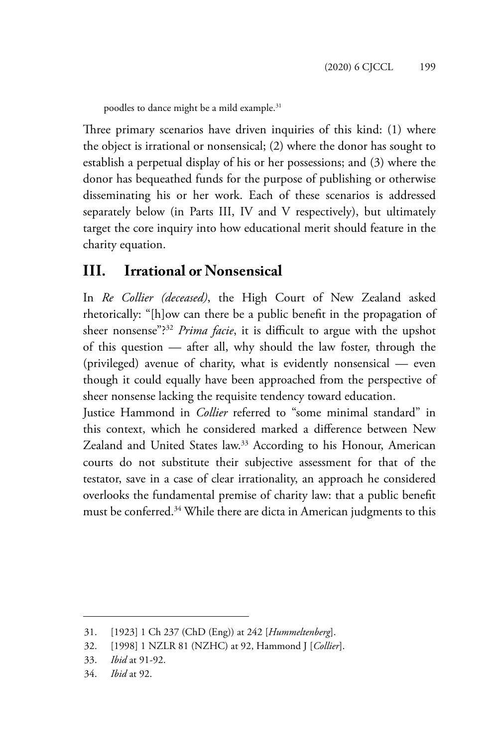poodles to dance might be a mild example.<sup>31</sup>

Three primary scenarios have driven inquiries of this kind: (1) where the object is irrational or nonsensical; (2) where the donor has sought to establish a perpetual display of his or her possessions; and (3) where the donor has bequeathed funds for the purpose of publishing or otherwise disseminating his or her work. Each of these scenarios is addressed separately below (in Parts III, IV and V respectively), but ultimately target the core inquiry into how educational merit should feature in the charity equation.

#### **III. Irrational or Nonsensical**

In *Re Collier (deceased)*, the High Court of New Zealand asked rhetorically: "[h]ow can there be a public benefit in the propagation of sheer nonsense"?32 *Prima facie*, it is difficult to argue with the upshot of this question — after all, why should the law foster, through the (privileged) avenue of charity, what is evidently nonsensical — even though it could equally have been approached from the perspective of sheer nonsense lacking the requisite tendency toward education.

Justice Hammond in *Collier* referred to "some minimal standard" in this context, which he considered marked a difference between New Zealand and United States law.<sup>33</sup> According to his Honour, American courts do not substitute their subjective assessment for that of the testator, save in a case of clear irrationality, an approach he considered overlooks the fundamental premise of charity law: that a public benefit must be conferred.34 While there are dicta in American judgments to this

<sup>31.</sup> [1923] 1 Ch 237 (ChD (Eng)) at 242 [*Hummeltenberg*].

<sup>32.</sup> [1998] 1 NZLR 81 (NZHC) at 92, Hammond J [*Collier*].

<sup>33.</sup> *Ibid* at 91-92.

<sup>34.</sup> *Ibid* at 92.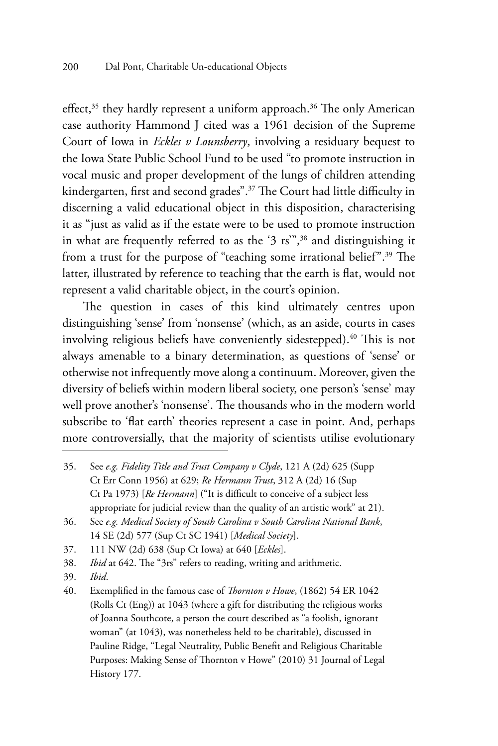effect,<sup>35</sup> they hardly represent a uniform approach.<sup>36</sup> The only American case authority Hammond J cited was a 1961 decision of the Supreme Court of Iowa in *Eckles v Lounsberry*, involving a residuary bequest to the Iowa State Public School Fund to be used "to promote instruction in vocal music and proper development of the lungs of children attending kindergarten, first and second grades".<sup>37</sup> The Court had little difficulty in discerning a valid educational object in this disposition, characterising it as "just as valid as if the estate were to be used to promote instruction in what are frequently referred to as the '3 rs'",38 and distinguishing it from a trust for the purpose of "teaching some irrational belief".39 The latter, illustrated by reference to teaching that the earth is flat, would not represent a valid charitable object, in the court's opinion.

The question in cases of this kind ultimately centres upon distinguishing 'sense' from 'nonsense' (which, as an aside, courts in cases involving religious beliefs have conveniently sidestepped).<sup>40</sup> This is not always amenable to a binary determination, as questions of 'sense' or otherwise not infrequently move along a continuum. Moreover, given the diversity of beliefs within modern liberal society, one person's 'sense' may well prove another's 'nonsense'. The thousands who in the modern world subscribe to 'flat earth' theories represent a case in point. And, perhaps more controversially, that the majority of scientists utilise evolutionary

37. 111 NW (2d) 638 (Sup Ct Iowa) at 640 [*Eckles*].

38. *Ibid* at 642. The "3rs" refers to reading, writing and arithmetic.

39. *Ibid*.

<sup>35.</sup> See *e.g. Fidelity Title and Trust Company v Clyde*, 121 A (2d) 625 (Supp Ct Err Conn 1956) at 629; *Re Hermann Trust*, 312 A (2d) 16 (Sup Ct Pa 1973) [*Re Hermann*] ("It is difficult to conceive of a subject less appropriate for judicial review than the quality of an artistic work" at 21).

<sup>36.</sup> See *e.g. Medical Society of South Carolina v South Carolina National Bank*, 14 SE (2d) 577 (Sup Ct SC 1941) [*Medical Society*].

<sup>40.</sup> Exemplified in the famous case of *Thornton v Howe*, (1862) 54 ER 1042 (Rolls Ct (Eng)) at 1043 (where a gift for distributing the religious works of Joanna Southcote, a person the court described as "a foolish, ignorant woman" (at 1043), was nonetheless held to be charitable), discussed in Pauline Ridge, "Legal Neutrality, Public Benefit and Religious Charitable Purposes: Making Sense of Thornton v Howe" (2010) 31 Journal of Legal History 177.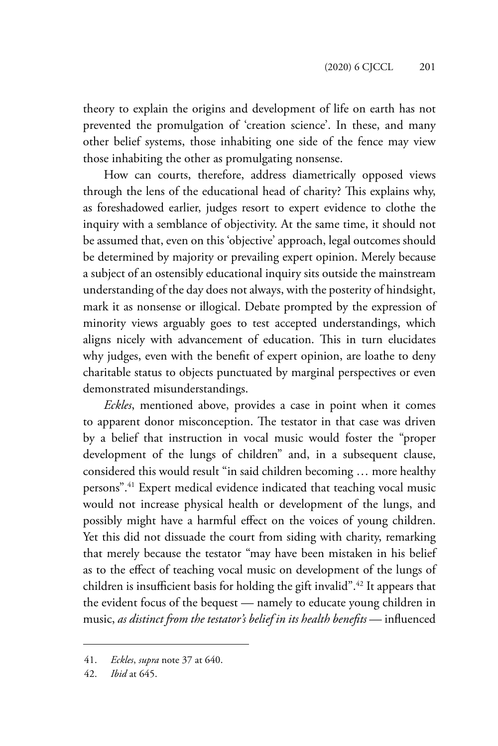theory to explain the origins and development of life on earth has not prevented the promulgation of 'creation science'. In these, and many other belief systems, those inhabiting one side of the fence may view those inhabiting the other as promulgating nonsense.

How can courts, therefore, address diametrically opposed views through the lens of the educational head of charity? This explains why, as foreshadowed earlier, judges resort to expert evidence to clothe the inquiry with a semblance of objectivity. At the same time, it should not be assumed that, even on this 'objective' approach, legal outcomes should be determined by majority or prevailing expert opinion. Merely because a subject of an ostensibly educational inquiry sits outside the mainstream understanding of the day does not always, with the posterity of hindsight, mark it as nonsense or illogical. Debate prompted by the expression of minority views arguably goes to test accepted understandings, which aligns nicely with advancement of education. This in turn elucidates why judges, even with the benefit of expert opinion, are loathe to deny charitable status to objects punctuated by marginal perspectives or even demonstrated misunderstandings.

*Eckles*, mentioned above, provides a case in point when it comes to apparent donor misconception. The testator in that case was driven by a belief that instruction in vocal music would foster the "proper development of the lungs of children" and, in a subsequent clause, considered this would result "in said children becoming … more healthy persons".41 Expert medical evidence indicated that teaching vocal music would not increase physical health or development of the lungs, and possibly might have a harmful effect on the voices of young children. Yet this did not dissuade the court from siding with charity, remarking that merely because the testator "may have been mistaken in his belief as to the effect of teaching vocal music on development of the lungs of children is insufficient basis for holding the gift invalid".<sup>42</sup> It appears that the evident focus of the bequest — namely to educate young children in music, *as distinct from the testator's belief in its health benefits* — influenced

<sup>41.</sup> *Eckles*, *supra* note 37 at 640.

<sup>42.</sup> *Ibid* at 645.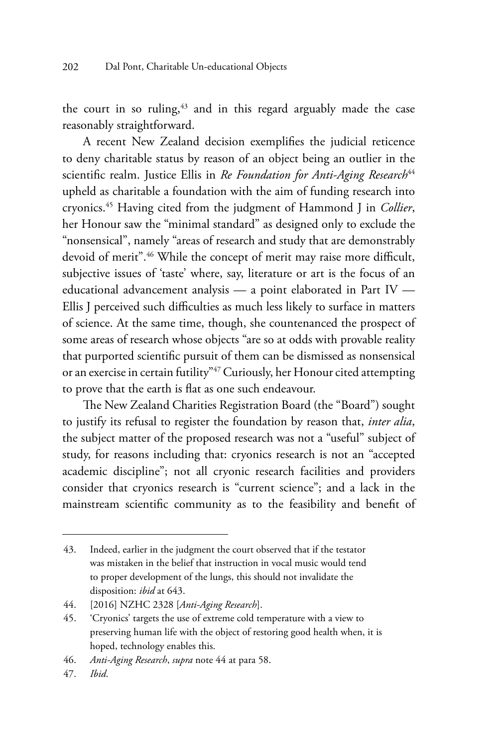the court in so ruling,<sup>43</sup> and in this regard arguably made the case reasonably straightforward.

A recent New Zealand decision exemplifies the judicial reticence to deny charitable status by reason of an object being an outlier in the scientific realm. Justice Ellis in *Re Foundation for Anti-Aging Research*<sup>44</sup> upheld as charitable a foundation with the aim of funding research into cryonics.45 Having cited from the judgment of Hammond J in *Collier*, her Honour saw the "minimal standard" as designed only to exclude the "nonsensical", namely "areas of research and study that are demonstrably devoid of merit".46 While the concept of merit may raise more difficult, subjective issues of 'taste' where, say, literature or art is the focus of an educational advancement analysis — a point elaborated in Part IV — Ellis J perceived such difficulties as much less likely to surface in matters of science. At the same time, though, she countenanced the prospect of some areas of research whose objects "are so at odds with provable reality that purported scientific pursuit of them can be dismissed as nonsensical or an exercise in certain futility"47 Curiously, her Honour cited attempting to prove that the earth is flat as one such endeavour.

The New Zealand Charities Registration Board (the "Board") sought to justify its refusal to register the foundation by reason that, *inter alia*, the subject matter of the proposed research was not a "useful" subject of study, for reasons including that: cryonics research is not an "accepted academic discipline"; not all cryonic research facilities and providers consider that cryonics research is "current science"; and a lack in the mainstream scientific community as to the feasibility and benefit of

<sup>43.</sup> Indeed, earlier in the judgment the court observed that if the testator was mistaken in the belief that instruction in vocal music would tend to proper development of the lungs, this should not invalidate the disposition: *ibid* at 643.

<sup>44.</sup> [2016] NZHC 2328 [*Anti-Aging Research*].

<sup>45.</sup> 'Cryonics' targets the use of extreme cold temperature with a view to preserving human life with the object of restoring good health when, it is hoped, technology enables this.

<sup>46.</sup> *Anti-Aging Research*, *supra* note 44 at para 58.

<sup>47.</sup> *Ibid*.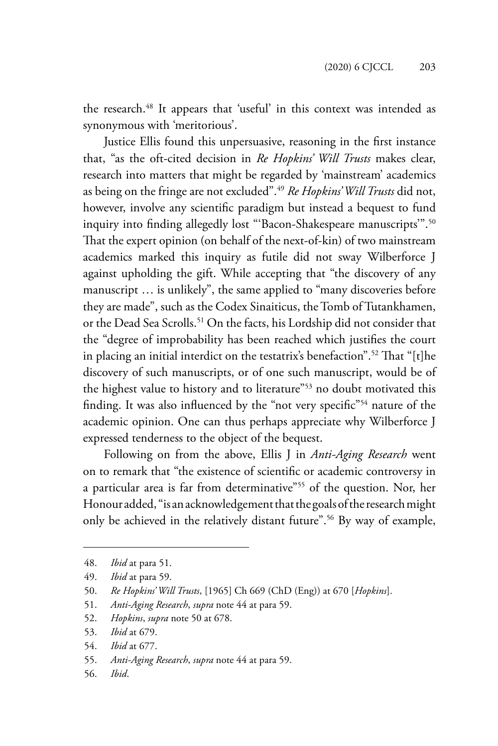the research.<sup>48</sup> It appears that 'useful' in this context was intended as synonymous with 'meritorious'.

Justice Ellis found this unpersuasive, reasoning in the first instance that, "as the oft-cited decision in *Re Hopkins' Will Trusts* makes clear, research into matters that might be regarded by 'mainstream' academics as being on the fringe are not excluded".49 *Re Hopkins' Will Trusts* did not, however, involve any scientific paradigm but instead a bequest to fund inquiry into finding allegedly lost "'Bacon-Shakespeare manuscripts'".<sup>50</sup> That the expert opinion (on behalf of the next-of-kin) of two mainstream academics marked this inquiry as futile did not sway Wilberforce J against upholding the gift. While accepting that "the discovery of any manuscript … is unlikely", the same applied to "many discoveries before they are made", such as the Codex Sinaiticus, the Tomb of Tutankhamen, or the Dead Sea Scrolls.<sup>51</sup> On the facts, his Lordship did not consider that the "degree of improbability has been reached which justifies the court in placing an initial interdict on the testatrix's benefaction".52 That "[t]he discovery of such manuscripts, or of one such manuscript, would be of the highest value to history and to literature"<sup>53</sup> no doubt motivated this finding. It was also influenced by the "not very specific"<sup>54</sup> nature of the academic opinion. One can thus perhaps appreciate why Wilberforce J expressed tenderness to the object of the bequest.

Following on from the above, Ellis J in *Anti-Aging Research* went on to remark that "the existence of scientific or academic controversy in a particular area is far from determinative"55 of the question. Nor, her Honour added, "is an acknowledgement that the goals of the research might only be achieved in the relatively distant future".56 By way of example,

- 52. *Hopkins*, *supra* note 50 at 678.
- 53. *Ibid* at 679.
- 54. *Ibid* at 677.
- 55. *Anti-Aging Research*, *supra* note 44 at para 59.
- 56. *Ibid*.

<sup>48.</sup> *Ibid* at para 51.

<sup>49.</sup> *Ibid* at para 59.

<sup>50.</sup> *Re Hopkins' Will Trusts*, [1965] Ch 669 (ChD (Eng)) at 670 [*Hopkins*].

<sup>51.</sup> *Anti-Aging Research*, *supra* note 44 at para 59.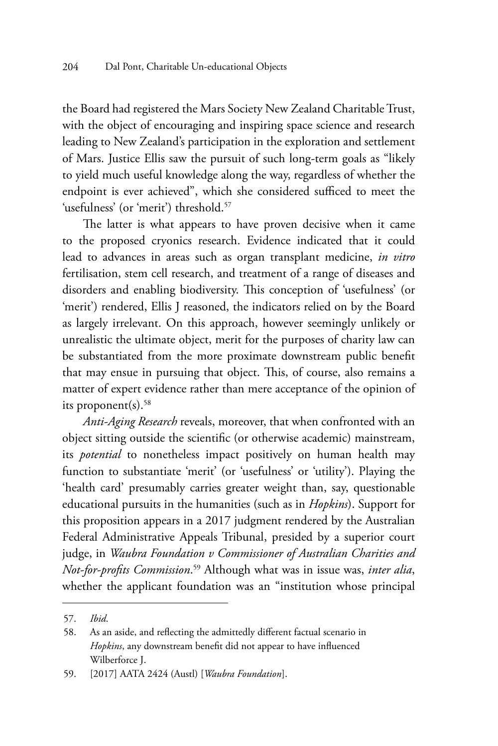the Board had registered the Mars Society New Zealand Charitable Trust, with the object of encouraging and inspiring space science and research leading to New Zealand's participation in the exploration and settlement of Mars. Justice Ellis saw the pursuit of such long-term goals as "likely to yield much useful knowledge along the way, regardless of whether the endpoint is ever achieved", which she considered sufficed to meet the 'usefulness' (or 'merit') threshold.<sup>57</sup>

The latter is what appears to have proven decisive when it came to the proposed cryonics research. Evidence indicated that it could lead to advances in areas such as organ transplant medicine, *in vitro* fertilisation, stem cell research, and treatment of a range of diseases and disorders and enabling biodiversity. This conception of 'usefulness' (or 'merit') rendered, Ellis J reasoned, the indicators relied on by the Board as largely irrelevant. On this approach, however seemingly unlikely or unrealistic the ultimate object, merit for the purposes of charity law can be substantiated from the more proximate downstream public benefit that may ensue in pursuing that object. This, of course, also remains a matter of expert evidence rather than mere acceptance of the opinion of its proponent $(s)$ .<sup>58</sup>

*Anti-Aging Research* reveals, moreover, that when confronted with an object sitting outside the scientific (or otherwise academic) mainstream, its *potential* to nonetheless impact positively on human health may function to substantiate 'merit' (or 'usefulness' or 'utility'). Playing the 'health card' presumably carries greater weight than, say, questionable educational pursuits in the humanities (such as in *Hopkins*). Support for this proposition appears in a 2017 judgment rendered by the Australian Federal Administrative Appeals Tribunal, presided by a superior court judge, in *Waubra Foundation v Commissioner of Australian Charities and Not-for-profits Commission*. 59 Although what was in issue was, *inter alia*, whether the applicant foundation was an "institution whose principal

<sup>57.</sup> *Ibid*.

<sup>58.</sup> As an aside, and reflecting the admittedly different factual scenario in *Hopkins*, any downstream benefit did not appear to have influenced Wilberforce J.

<sup>59.</sup> [2017] AATA 2424 (Austl) [*Waubra Foundation*].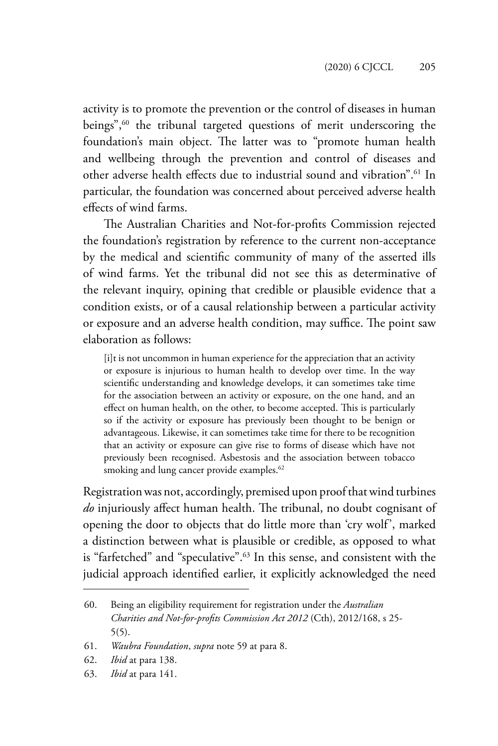activity is to promote the prevention or the control of diseases in human beings",<sup>60</sup> the tribunal targeted questions of merit underscoring the foundation's main object. The latter was to "promote human health and wellbeing through the prevention and control of diseases and other adverse health effects due to industrial sound and vibration".<sup>61</sup> In particular, the foundation was concerned about perceived adverse health effects of wind farms.

The Australian Charities and Not-for-profits Commission rejected the foundation's registration by reference to the current non-acceptance by the medical and scientific community of many of the asserted ills of wind farms. Yet the tribunal did not see this as determinative of the relevant inquiry, opining that credible or plausible evidence that a condition exists, or of a causal relationship between a particular activity or exposure and an adverse health condition, may suffice. The point saw elaboration as follows:

[i]t is not uncommon in human experience for the appreciation that an activity or exposure is injurious to human health to develop over time. In the way scientific understanding and knowledge develops, it can sometimes take time for the association between an activity or exposure, on the one hand, and an effect on human health, on the other, to become accepted. This is particularly so if the activity or exposure has previously been thought to be benign or advantageous. Likewise, it can sometimes take time for there to be recognition that an activity or exposure can give rise to forms of disease which have not previously been recognised. Asbestosis and the association between tobacco smoking and lung cancer provide examples.<sup>62</sup>

Registration was not, accordingly, premised upon proof that wind turbines *do* injuriously affect human health. The tribunal, no doubt cognisant of opening the door to objects that do little more than 'cry wolf', marked a distinction between what is plausible or credible, as opposed to what is "farfetched" and "speculative".63 In this sense, and consistent with the judicial approach identified earlier, it explicitly acknowledged the need

<sup>60.</sup> Being an eligibility requirement for registration under the *Australian Charities and Not-for-profits Commission Act 2012* (Cth), 2012/168, s 25- 5(5).

<sup>61.</sup> *Waubra Foundation*, *supra* note 59 at para 8.

<sup>62.</sup> *Ibid* at para 138.

<sup>63.</sup> *Ibid* at para 141.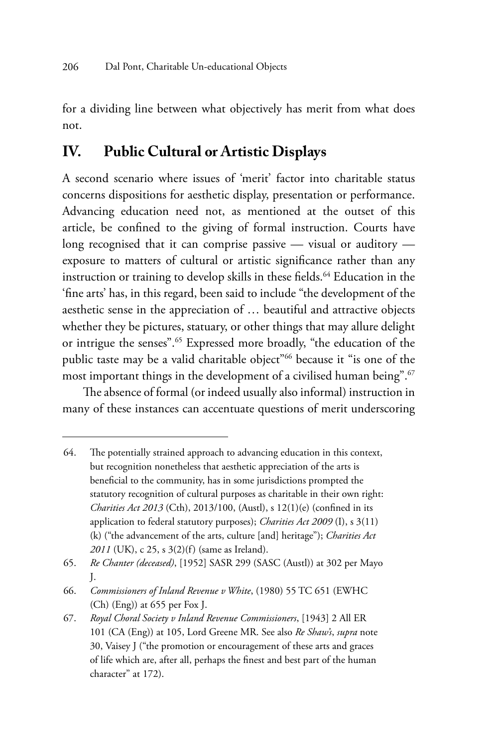for a dividing line between what objectively has merit from what does not.

### **IV. Public Cultural or Artistic Displays**

A second scenario where issues of 'merit' factor into charitable status concerns dispositions for aesthetic display, presentation or performance. Advancing education need not, as mentioned at the outset of this article, be confined to the giving of formal instruction. Courts have long recognised that it can comprise passive — visual or auditory exposure to matters of cultural or artistic significance rather than any instruction or training to develop skills in these fields.<sup>64</sup> Education in the 'fine arts' has, in this regard, been said to include "the development of the aesthetic sense in the appreciation of … beautiful and attractive objects whether they be pictures, statuary, or other things that may allure delight or intrigue the senses".65 Expressed more broadly, "the education of the public taste may be a valid charitable object"<sup>66</sup> because it "is one of the most important things in the development of a civilised human being".<sup>67</sup>

The absence of formal (or indeed usually also informal) instruction in many of these instances can accentuate questions of merit underscoring

<sup>64.</sup> The potentially strained approach to advancing education in this context, but recognition nonetheless that aesthetic appreciation of the arts is beneficial to the community, has in some jurisdictions prompted the statutory recognition of cultural purposes as charitable in their own right: *Charities Act 2013* (Cth), 2013/100, (Austl), s 12(1)(e) (confined in its application to federal statutory purposes); *Charities Act 2009* (I), s 3(11) (k) ("the advancement of the arts, culture [and] heritage"); *Charities Act 2011* (UK), c 25, s 3(2)(f) (same as Ireland).

<sup>65.</sup> *Re Chanter (deceased)*, [1952] SASR 299 (SASC (Austl)) at 302 per Mayo J.

<sup>66.</sup> *Commissioners of Inland Revenue v White*, (1980) 55 TC 651 (EWHC (Ch) (Eng)) at 655 per Fox J.

<sup>67.</sup> *Royal Choral Society v Inland Revenue Commissioners*, [1943] 2 All ER 101 (CA (Eng)) at 105, Lord Greene MR. See also *Re Shaw's*, *supra* note 30, Vaisey J ("the promotion or encouragement of these arts and graces of life which are, after all, perhaps the finest and best part of the human character" at 172).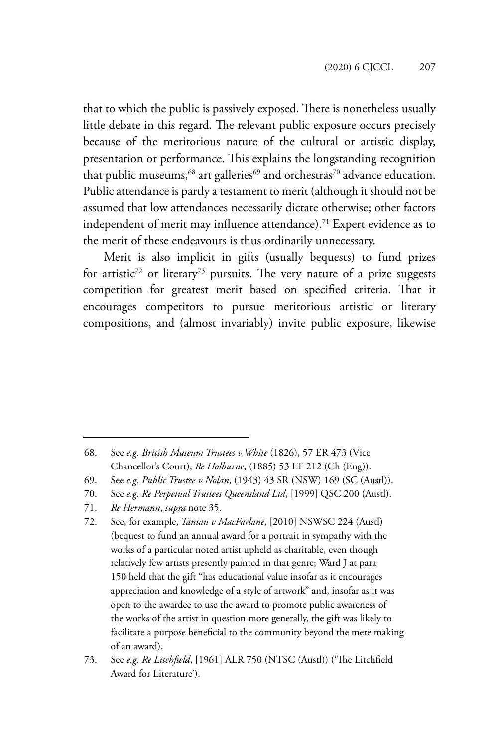that to which the public is passively exposed. There is nonetheless usually little debate in this regard. The relevant public exposure occurs precisely because of the meritorious nature of the cultural or artistic display, presentation or performance. This explains the longstanding recognition that public museums,  $68$  art galleries $69$  and orchestras<sup>70</sup> advance education. Public attendance is partly a testament to merit (although it should not be assumed that low attendances necessarily dictate otherwise; other factors independent of merit may influence attendance).<sup>71</sup> Expert evidence as to the merit of these endeavours is thus ordinarily unnecessary.

Merit is also implicit in gifts (usually bequests) to fund prizes for artistic<sup>72</sup> or literary<sup>73</sup> pursuits. The very nature of a prize suggests competition for greatest merit based on specified criteria. That it encourages competitors to pursue meritorious artistic or literary compositions, and (almost invariably) invite public exposure, likewise

71. *Re Hermann*, *supra* note 35.

<sup>68.</sup> See *e.g. British Museum Trustees v White* (1826), 57 ER 473 (Vice Chancellor's Court); *Re Holburne*, (1885) 53 LT 212 (Ch (Eng)).

<sup>69.</sup> See *e.g. Public Trustee v Nolan*, (1943) 43 SR (NSW) 169 (SC (Austl)).

<sup>70.</sup> See *e.g. Re Perpetual Trustees Queensland Ltd*, [1999] QSC 200 (Austl).

<sup>72.</sup> See, for example, *Tantau v MacFarlane*, [2010] NSWSC 224 (Austl) (bequest to fund an annual award for a portrait in sympathy with the works of a particular noted artist upheld as charitable, even though relatively few artists presently painted in that genre; Ward J at para 150 held that the gift "has educational value insofar as it encourages appreciation and knowledge of a style of artwork" and, insofar as it was open to the awardee to use the award to promote public awareness of the works of the artist in question more generally, the gift was likely to facilitate a purpose beneficial to the community beyond the mere making of an award).

<sup>73.</sup> See *e.g. Re Litchfield*, [1961] ALR 750 (NTSC (Austl)) ('The Litchfield Award for Literature').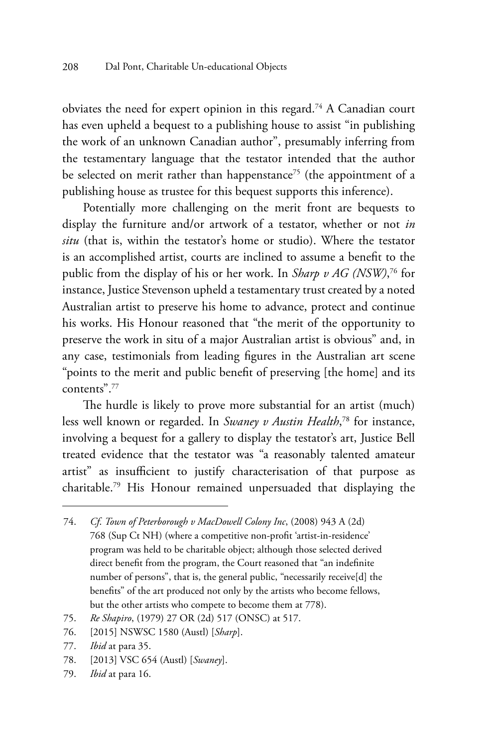obviates the need for expert opinion in this regard.74 A Canadian court has even upheld a bequest to a publishing house to assist "in publishing the work of an unknown Canadian author", presumably inferring from the testamentary language that the testator intended that the author be selected on merit rather than happenstance<sup>75</sup> (the appointment of a publishing house as trustee for this bequest supports this inference).

Potentially more challenging on the merit front are bequests to display the furniture and/or artwork of a testator, whether or not *in situ* (that is, within the testator's home or studio). Where the testator is an accomplished artist, courts are inclined to assume a benefit to the public from the display of his or her work. In *Sharp v AG (NSW)*, 76 for instance, Justice Stevenson upheld a testamentary trust created by a noted Australian artist to preserve his home to advance, protect and continue his works. His Honour reasoned that "the merit of the opportunity to preserve the work in situ of a major Australian artist is obvious" and, in any case, testimonials from leading figures in the Australian art scene "points to the merit and public benefit of preserving [the home] and its contents".77

The hurdle is likely to prove more substantial for an artist (much) less well known or regarded. In *Swaney v Austin Health*, 78 for instance, involving a bequest for a gallery to display the testator's art, Justice Bell treated evidence that the testator was "a reasonably talented amateur artist" as insufficient to justify characterisation of that purpose as charitable.79 His Honour remained unpersuaded that displaying the

- 78. [2013] VSC 654 (Austl) [*Swaney*].
- 79. *Ibid* at para 16.

<sup>74.</sup> *Cf*. *Town of Peterborough v MacDowell Colony Inc*, (2008) 943 A (2d) 768 (Sup Ct NH) (where a competitive non-profit 'artist-in-residence' program was held to be charitable object; although those selected derived direct benefit from the program, the Court reasoned that "an indefinite number of persons", that is, the general public, "necessarily receive[d] the benefits" of the art produced not only by the artists who become fellows, but the other artists who compete to become them at 778).

<sup>75.</sup> *Re Shapiro*, (1979) 27 OR (2d) 517 (ONSC) at 517.

<sup>76.</sup> [2015] NSWSC 1580 (Austl) [*Sharp*].

<sup>77.</sup> *Ibid* at para 35.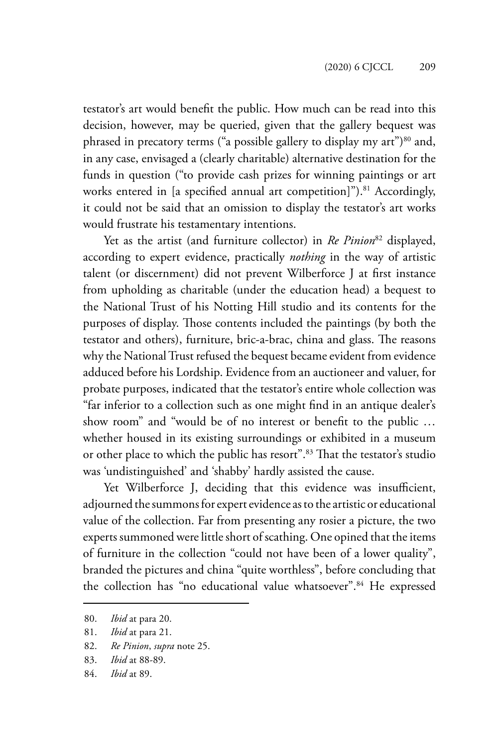testator's art would benefit the public. How much can be read into this decision, however, may be queried, given that the gallery bequest was phrased in precatory terms ("a possible gallery to display my art") $80$  and, in any case, envisaged a (clearly charitable) alternative destination for the funds in question ("to provide cash prizes for winning paintings or art works entered in [a specified annual art competition]").<sup>81</sup> Accordingly, it could not be said that an omission to display the testator's art works would frustrate his testamentary intentions.

Yet as the artist (and furniture collector) in *Re Pinion*<sup>82</sup> displayed, according to expert evidence, practically *nothing* in the way of artistic talent (or discernment) did not prevent Wilberforce J at first instance from upholding as charitable (under the education head) a bequest to the National Trust of his Notting Hill studio and its contents for the purposes of display. Those contents included the paintings (by both the testator and others), furniture, bric-a-brac, china and glass. The reasons why the National Trust refused the bequest became evident from evidence adduced before his Lordship. Evidence from an auctioneer and valuer, for probate purposes, indicated that the testator's entire whole collection was "far inferior to a collection such as one might find in an antique dealer's show room" and "would be of no interest or benefit to the public … whether housed in its existing surroundings or exhibited in a museum or other place to which the public has resort".<sup>83</sup> That the testator's studio was 'undistinguished' and 'shabby' hardly assisted the cause.

Yet Wilberforce J, deciding that this evidence was insufficient, adjourned the summons for expert evidence as to the artistic or educational value of the collection. Far from presenting any rosier a picture, the two experts summoned were little short of scathing. One opined that the items of furniture in the collection "could not have been of a lower quality", branded the pictures and china "quite worthless", before concluding that the collection has "no educational value whatsoever".<sup>84</sup> He expressed

82. *Re Pinion*, *supra* note 25.

84. *Ibid* at 89.

<sup>80.</sup> *Ibid* at para 20.

<sup>81.</sup> *Ibid* at para 21.

<sup>83.</sup> *Ibid* at 88-89.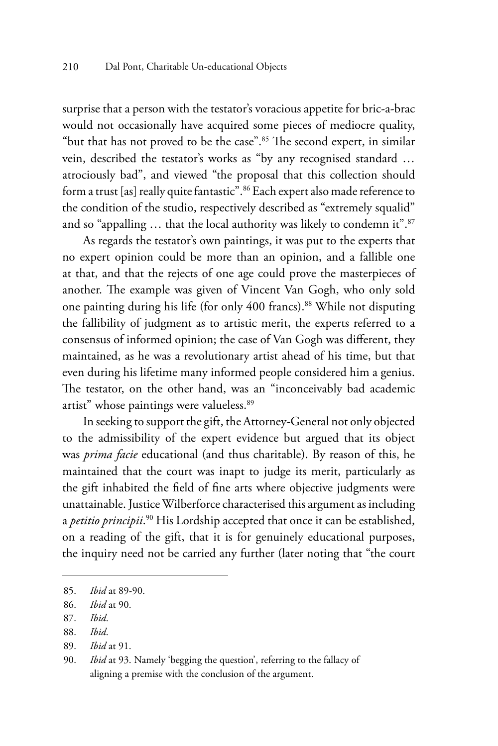surprise that a person with the testator's voracious appetite for bric-a-brac would not occasionally have acquired some pieces of mediocre quality, "but that has not proved to be the case".85 The second expert, in similar vein, described the testator's works as "by any recognised standard … atrociously bad", and viewed "the proposal that this collection should form a trust [as] really quite fantastic". <sup>86</sup> Each expert also made reference to the condition of the studio, respectively described as "extremely squalid" and so "appalling ... that the local authority was likely to condemn it".<sup>87</sup>

As regards the testator's own paintings, it was put to the experts that no expert opinion could be more than an opinion, and a fallible one at that, and that the rejects of one age could prove the masterpieces of another. The example was given of Vincent Van Gogh, who only sold one painting during his life (for only 400 francs).<sup>88</sup> While not disputing the fallibility of judgment as to artistic merit, the experts referred to a consensus of informed opinion; the case of Van Gogh was different, they maintained, as he was a revolutionary artist ahead of his time, but that even during his lifetime many informed people considered him a genius. The testator, on the other hand, was an "inconceivably bad academic artist" whose paintings were valueless.89

In seeking to support the gift, the Attorney-General not only objected to the admissibility of the expert evidence but argued that its object was *prima facie* educational (and thus charitable). By reason of this, he maintained that the court was inapt to judge its merit, particularly as the gift inhabited the field of fine arts where objective judgments were unattainable. Justice Wilberforce characterised this argument as including a *petitio principii.*<sup>90</sup> His Lordship accepted that once it can be established, on a reading of the gift, that it is for genuinely educational purposes, the inquiry need not be carried any further (later noting that "the court

<sup>85.</sup> *Ibid* at 89-90.

<sup>86.</sup> *Ibid* at 90.

<sup>87.</sup> *Ibid*.

<sup>88.</sup> *Ibid*.

<sup>89.</sup> *Ibid* at 91.

<sup>90.</sup> *Ibid* at 93. Namely 'begging the question', referring to the fallacy of aligning a premise with the conclusion of the argument.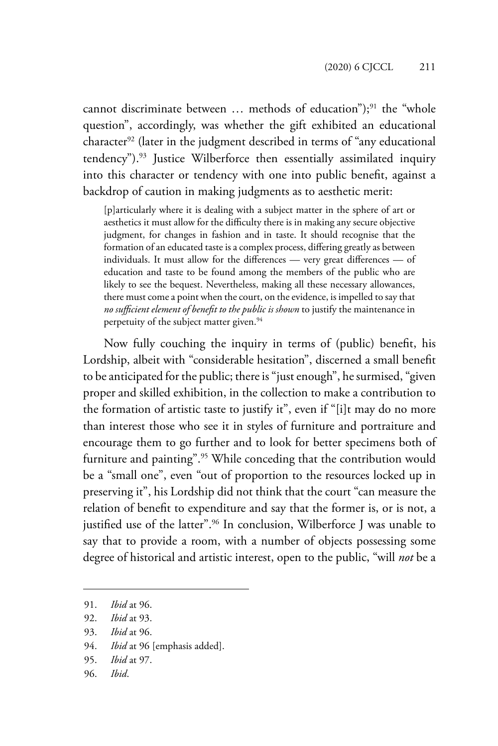cannot discriminate between ... methods of education");<sup>91</sup> the "whole question", accordingly, was whether the gift exhibited an educational character<sup>92</sup> (later in the judgment described in terms of "any educational tendency").<sup>93</sup> Justice Wilberforce then essentially assimilated inquiry into this character or tendency with one into public benefit, against a backdrop of caution in making judgments as to aesthetic merit:

[p]articularly where it is dealing with a subject matter in the sphere of art or aesthetics it must allow for the difficulty there is in making any secure objective judgment, for changes in fashion and in taste. It should recognise that the formation of an educated taste is a complex process, differing greatly as between individuals. It must allow for the differences — very great differences — of education and taste to be found among the members of the public who are likely to see the bequest. Nevertheless, making all these necessary allowances, there must come a point when the court, on the evidence, is impelled to say that *no sufficient element of benefit to the public is shown* to justify the maintenance in perpetuity of the subject matter given.<sup>94</sup>

Now fully couching the inquiry in terms of (public) benefit, his Lordship, albeit with "considerable hesitation", discerned a small benefit to be anticipated for the public; there is "just enough", he surmised, "given proper and skilled exhibition, in the collection to make a contribution to the formation of artistic taste to justify it", even if "[i]t may do no more than interest those who see it in styles of furniture and portraiture and encourage them to go further and to look for better specimens both of furniture and painting".<sup>95</sup> While conceding that the contribution would be a "small one", even "out of proportion to the resources locked up in preserving it", his Lordship did not think that the court "can measure the relation of benefit to expenditure and say that the former is, or is not, a justified use of the latter".<sup>96</sup> In conclusion, Wilberforce J was unable to say that to provide a room, with a number of objects possessing some degree of historical and artistic interest, open to the public, "will *not* be a

94. *Ibid* at 96 [emphasis added].

96. *Ibid*.

<sup>91.</sup> *Ibid* at 96.

<sup>92.</sup> *Ibid* at 93.

<sup>93.</sup> *Ibid* at 96.

<sup>95.</sup> *Ibid* at 97.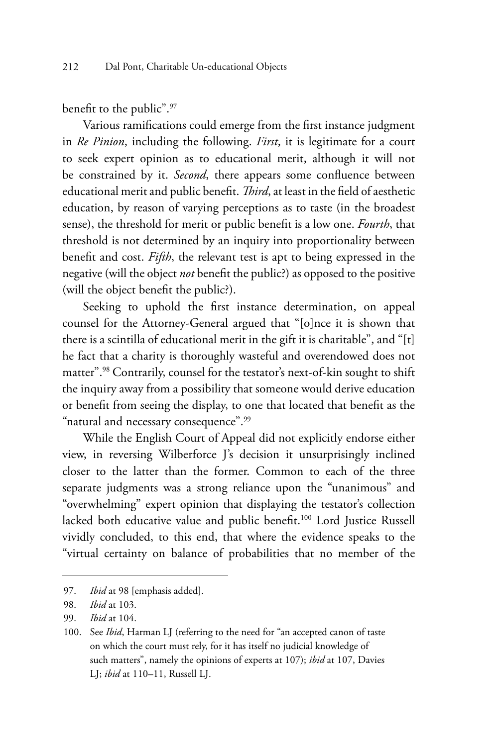benefit to the public".<sup>97</sup>

Various ramifications could emerge from the first instance judgment in *Re Pinion*, including the following. *First*, it is legitimate for a court to seek expert opinion as to educational merit, although it will not be constrained by it. *Second*, there appears some confluence between educational merit and public benefit. *Third*, at least in the field of aesthetic education, by reason of varying perceptions as to taste (in the broadest sense), the threshold for merit or public benefit is a low one. *Fourth*, that threshold is not determined by an inquiry into proportionality between benefit and cost. *Fifth*, the relevant test is apt to being expressed in the negative (will the object *not* benefit the public?) as opposed to the positive (will the object benefit the public?).

Seeking to uphold the first instance determination, on appeal counsel for the Attorney-General argued that "[o]nce it is shown that there is a scintilla of educational merit in the gift it is charitable", and "[t] he fact that a charity is thoroughly wasteful and overendowed does not matter".98 Contrarily, counsel for the testator's next-of-kin sought to shift the inquiry away from a possibility that someone would derive education or benefit from seeing the display, to one that located that benefit as the "natural and necessary consequence".<sup>99</sup>

While the English Court of Appeal did not explicitly endorse either view, in reversing Wilberforce J's decision it unsurprisingly inclined closer to the latter than the former. Common to each of the three separate judgments was a strong reliance upon the "unanimous" and "overwhelming" expert opinion that displaying the testator's collection lacked both educative value and public benefit.100 Lord Justice Russell vividly concluded, to this end, that where the evidence speaks to the "virtual certainty on balance of probabilities that no member of the

<sup>97.</sup> *Ibid* at 98 [emphasis added].

<sup>98.</sup> *Ibid* at 103.

<sup>99.</sup> *Ibid* at 104.

<sup>100.</sup> See *Ibid*, Harman LJ (referring to the need for "an accepted canon of taste on which the court must rely, for it has itself no judicial knowledge of such matters", namely the opinions of experts at 107); *ibid* at 107, Davies LJ; *ibid* at 110–11, Russell LJ.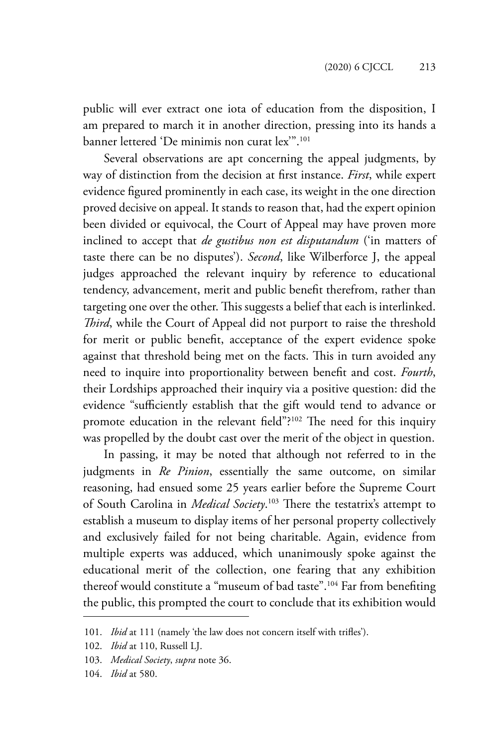public will ever extract one iota of education from the disposition, I am prepared to march it in another direction, pressing into its hands a banner lettered 'De minimis non curat lex'".101

Several observations are apt concerning the appeal judgments, by way of distinction from the decision at first instance. *First*, while expert evidence figured prominently in each case, its weight in the one direction proved decisive on appeal. It stands to reason that, had the expert opinion been divided or equivocal, the Court of Appeal may have proven more inclined to accept that *de gustibus non est disputandum* ('in matters of taste there can be no disputes'). *Second*, like Wilberforce J, the appeal judges approached the relevant inquiry by reference to educational tendency, advancement, merit and public benefit therefrom, rather than targeting one over the other. This suggests a belief that each is interlinked. *Third*, while the Court of Appeal did not purport to raise the threshold for merit or public benefit, acceptance of the expert evidence spoke against that threshold being met on the facts. This in turn avoided any need to inquire into proportionality between benefit and cost. *Fourth*, their Lordships approached their inquiry via a positive question: did the evidence "sufficiently establish that the gift would tend to advance or promote education in the relevant field"?<sup>102</sup> The need for this inquiry was propelled by the doubt cast over the merit of the object in question.

In passing, it may be noted that although not referred to in the judgments in *Re Pinion*, essentially the same outcome, on similar reasoning, had ensued some 25 years earlier before the Supreme Court of South Carolina in *Medical Society*. 103 There the testatrix's attempt to establish a museum to display items of her personal property collectively and exclusively failed for not being charitable. Again, evidence from multiple experts was adduced, which unanimously spoke against the educational merit of the collection, one fearing that any exhibition thereof would constitute a "museum of bad taste".<sup>104</sup> Far from benefiting the public, this prompted the court to conclude that its exhibition would

<sup>101.</sup> *Ibid* at 111 (namely 'the law does not concern itself with trifles').

<sup>102.</sup> *Ibid* at 110, Russell LJ.

<sup>103.</sup> *Medical Society*, *supra* note 36.

<sup>104.</sup> *Ibid* at 580.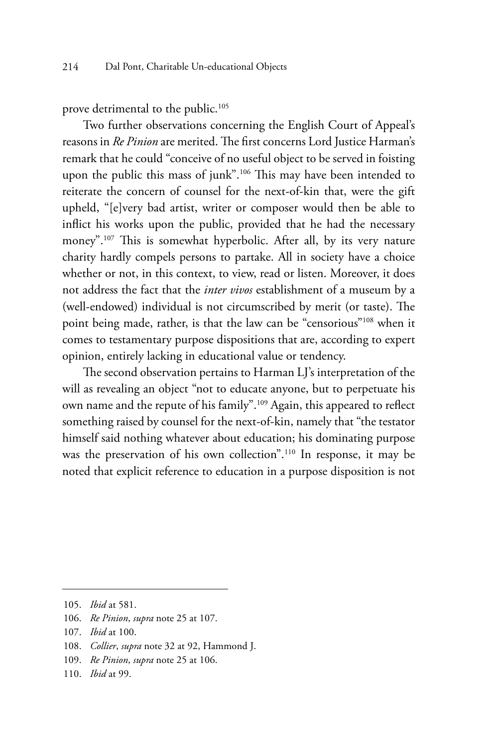prove detrimental to the public.<sup>105</sup>

Two further observations concerning the English Court of Appeal's reasons in *Re Pinion* are merited. The first concerns Lord Justice Harman's remark that he could "conceive of no useful object to be served in foisting upon the public this mass of junk".<sup>106</sup> This may have been intended to reiterate the concern of counsel for the next-of-kin that, were the gift upheld, "[e]very bad artist, writer or composer would then be able to inflict his works upon the public, provided that he had the necessary money".107 This is somewhat hyperbolic. After all, by its very nature charity hardly compels persons to partake. All in society have a choice whether or not, in this context, to view, read or listen. Moreover, it does not address the fact that the *inter vivos* establishment of a museum by a (well-endowed) individual is not circumscribed by merit (or taste). The point being made, rather, is that the law can be "censorious"<sup>108</sup> when it comes to testamentary purpose dispositions that are, according to expert opinion, entirely lacking in educational value or tendency.

The second observation pertains to Harman LJ's interpretation of the will as revealing an object "not to educate anyone, but to perpetuate his own name and the repute of his family".<sup>109</sup> Again, this appeared to reflect something raised by counsel for the next-of-kin, namely that "the testator himself said nothing whatever about education; his dominating purpose was the preservation of his own collection".110 In response, it may be noted that explicit reference to education in a purpose disposition is not

<sup>105.</sup> *Ibid* at 581.

<sup>106.</sup> *Re Pinion*, *supra* note 25 at 107.

<sup>107.</sup> *Ibid* at 100.

<sup>108.</sup> *Collier*, *supra* note 32 at 92, Hammond J.

<sup>109.</sup> *Re Pinion*, *supra* note 25 at 106.

<sup>110.</sup> *Ibid* at 99.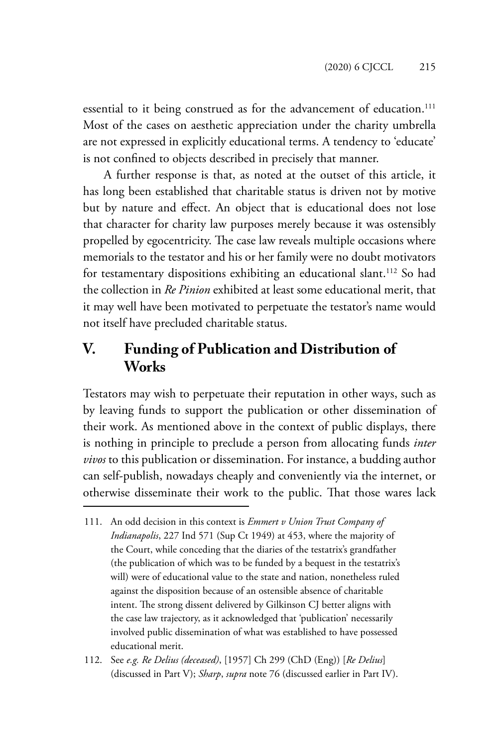essential to it being construed as for the advancement of education.<sup>111</sup> Most of the cases on aesthetic appreciation under the charity umbrella are not expressed in explicitly educational terms. A tendency to 'educate' is not confined to objects described in precisely that manner.

A further response is that, as noted at the outset of this article, it has long been established that charitable status is driven not by motive but by nature and effect. An object that is educational does not lose that character for charity law purposes merely because it was ostensibly propelled by egocentricity. The case law reveals multiple occasions where memorials to the testator and his or her family were no doubt motivators for testamentary dispositions exhibiting an educational slant.<sup>112</sup> So had the collection in *Re Pinion* exhibited at least some educational merit, that it may well have been motivated to perpetuate the testator's name would not itself have precluded charitable status.

## **V. Funding of Publication and Distribution of Works**

Testators may wish to perpetuate their reputation in other ways, such as by leaving funds to support the publication or other dissemination of their work. As mentioned above in the context of public displays, there is nothing in principle to preclude a person from allocating funds *inter vivos* to this publication or dissemination. For instance, a budding author can self-publish, nowadays cheaply and conveniently via the internet, or otherwise disseminate their work to the public. That those wares lack

<sup>111.</sup> An odd decision in this context is *Emmert v Union Trust Company of Indianapolis*, 227 Ind 571 (Sup Ct 1949) at 453, where the majority of the Court, while conceding that the diaries of the testatrix's grandfather (the publication of which was to be funded by a bequest in the testatrix's will) were of educational value to the state and nation, nonetheless ruled against the disposition because of an ostensible absence of charitable intent. The strong dissent delivered by Gilkinson CJ better aligns with the case law trajectory, as it acknowledged that 'publication' necessarily involved public dissemination of what was established to have possessed educational merit.

<sup>112.</sup> See *e.g. Re Delius (deceased)*, [1957] Ch 299 (ChD (Eng)) [*Re Delius*] (discussed in Part V); *Sharp*, *supra* note 76 (discussed earlier in Part IV).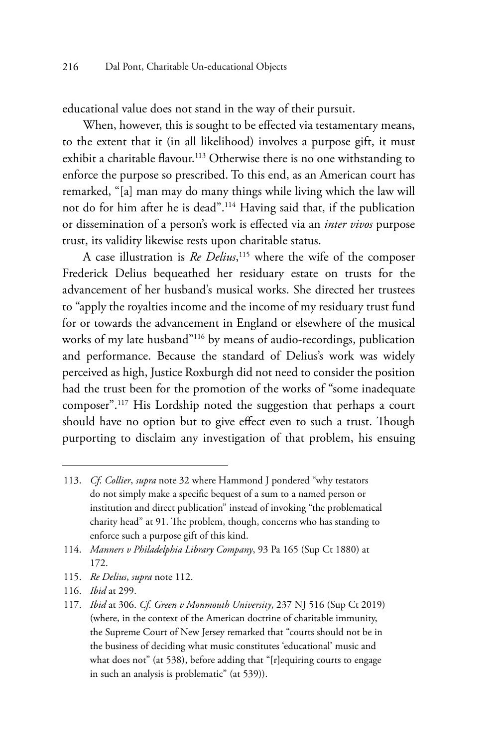educational value does not stand in the way of their pursuit.

When, however, this is sought to be effected via testamentary means, to the extent that it (in all likelihood) involves a purpose gift, it must exhibit a charitable flavour.<sup>113</sup> Otherwise there is no one withstanding to enforce the purpose so prescribed. To this end, as an American court has remarked, "[a] man may do many things while living which the law will not do for him after he is dead".114 Having said that, if the publication or dissemination of a person's work is effected via an *inter vivos* purpose trust, its validity likewise rests upon charitable status.

A case illustration is *Re Delius*, 115 where the wife of the composer Frederick Delius bequeathed her residuary estate on trusts for the advancement of her husband's musical works. She directed her trustees to "apply the royalties income and the income of my residuary trust fund for or towards the advancement in England or elsewhere of the musical works of my late husband"116 by means of audio-recordings, publication and performance. Because the standard of Delius's work was widely perceived as high, Justice Roxburgh did not need to consider the position had the trust been for the promotion of the works of "some inadequate composer".117 His Lordship noted the suggestion that perhaps a court should have no option but to give effect even to such a trust. Though purporting to disclaim any investigation of that problem, his ensuing

- 115. *Re Delius*, *supra* note 112.
- 116. *Ibid* at 299.

<sup>113.</sup> *Cf*. *Collier*, *supra* note 32 where Hammond J pondered "why testators do not simply make a specific bequest of a sum to a named person or institution and direct publication" instead of invoking "the problematical charity head" at 91. The problem, though, concerns who has standing to enforce such a purpose gift of this kind.

<sup>114.</sup> *Manners v Philadelphia Library Company*, 93 Pa 165 (Sup Ct 1880) at 172.

<sup>117.</sup> *Ibid* at 306. *Cf*. *Green v Monmouth University*, 237 NJ 516 (Sup Ct 2019) (where, in the context of the American doctrine of charitable immunity, the Supreme Court of New Jersey remarked that "courts should not be in the business of deciding what music constitutes 'educational' music and what does not" (at 538), before adding that "[r]equiring courts to engage in such an analysis is problematic" (at 539)).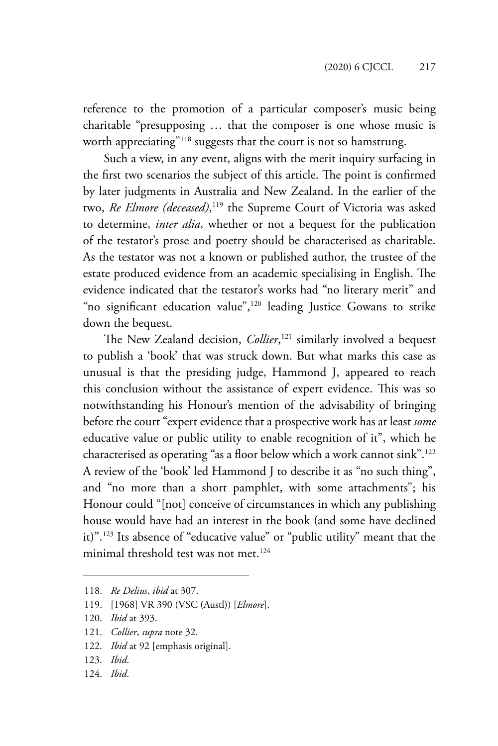reference to the promotion of a particular composer's music being charitable "presupposing … that the composer is one whose music is worth appreciating"<sup>118</sup> suggests that the court is not so hamstrung.

Such a view, in any event, aligns with the merit inquiry surfacing in the first two scenarios the subject of this article. The point is confirmed by later judgments in Australia and New Zealand. In the earlier of the two, *Re Elmore (deceased)*, 119 the Supreme Court of Victoria was asked to determine, *inter alia*, whether or not a bequest for the publication of the testator's prose and poetry should be characterised as charitable. As the testator was not a known or published author, the trustee of the estate produced evidence from an academic specialising in English. The evidence indicated that the testator's works had "no literary merit" and "no significant education value",<sup>120</sup> leading Justice Gowans to strike down the bequest.

The New Zealand decision, *Collier*, 121 similarly involved a bequest to publish a 'book' that was struck down. But what marks this case as unusual is that the presiding judge, Hammond J, appeared to reach this conclusion without the assistance of expert evidence. This was so notwithstanding his Honour's mention of the advisability of bringing before the court "expert evidence that a prospective work has at least *some* educative value or public utility to enable recognition of it", which he characterised as operating "as a floor below which a work cannot sink".122 A review of the 'book' led Hammond J to describe it as "no such thing", and "no more than a short pamphlet, with some attachments"; his Honour could "[not] conceive of circumstances in which any publishing house would have had an interest in the book (and some have declined it)".123 Its absence of "educative value" or "public utility" meant that the minimal threshold test was not met.<sup>124</sup>

- 121. *Collier*, *supra* note 32.
- 122. *Ibid* at 92 [emphasis original].
- 123. *Ibid*.
- 124. *Ibid*.

<sup>118.</sup> *Re Delius*, *ibid* at 307.

<sup>119.</sup> [1968] VR 390 (VSC (Austl)) [*Elmore*].

<sup>120.</sup> *Ibid* at 393.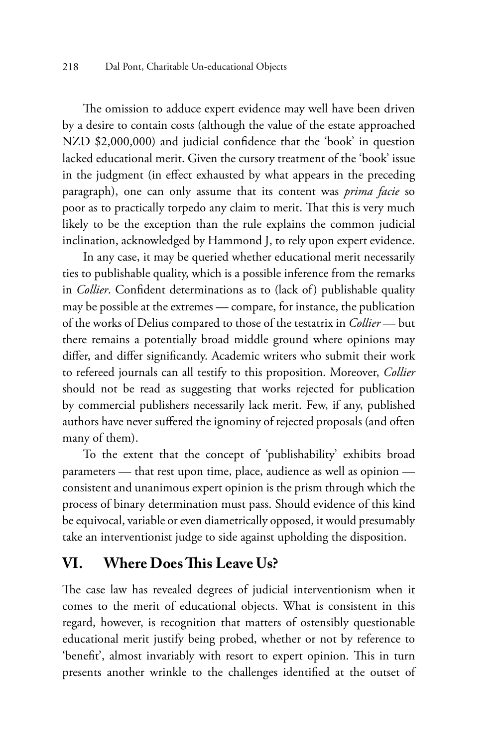The omission to adduce expert evidence may well have been driven by a desire to contain costs (although the value of the estate approached NZD \$2,000,000) and judicial confidence that the 'book' in question lacked educational merit. Given the cursory treatment of the 'book' issue in the judgment (in effect exhausted by what appears in the preceding paragraph), one can only assume that its content was *prima facie* so poor as to practically torpedo any claim to merit. That this is very much likely to be the exception than the rule explains the common judicial inclination, acknowledged by Hammond J, to rely upon expert evidence.

In any case, it may be queried whether educational merit necessarily ties to publishable quality, which is a possible inference from the remarks in *Collier*. Confident determinations as to (lack of) publishable quality may be possible at the extremes — compare, for instance, the publication of the works of Delius compared to those of the testatrix in *Collier* — but there remains a potentially broad middle ground where opinions may differ, and differ significantly. Academic writers who submit their work to refereed journals can all testify to this proposition. Moreover, *Collier* should not be read as suggesting that works rejected for publication by commercial publishers necessarily lack merit. Few, if any, published authors have never suffered the ignominy of rejected proposals (and often many of them).

To the extent that the concept of 'publishability' exhibits broad parameters — that rest upon time, place, audience as well as opinion consistent and unanimous expert opinion is the prism through which the process of binary determination must pass. Should evidence of this kind be equivocal, variable or even diametrically opposed, it would presumably take an interventionist judge to side against upholding the disposition.

#### **VI. Where Does This Leave Us?**

The case law has revealed degrees of judicial interventionism when it comes to the merit of educational objects. What is consistent in this regard, however, is recognition that matters of ostensibly questionable educational merit justify being probed, whether or not by reference to 'benefit', almost invariably with resort to expert opinion. This in turn presents another wrinkle to the challenges identified at the outset of